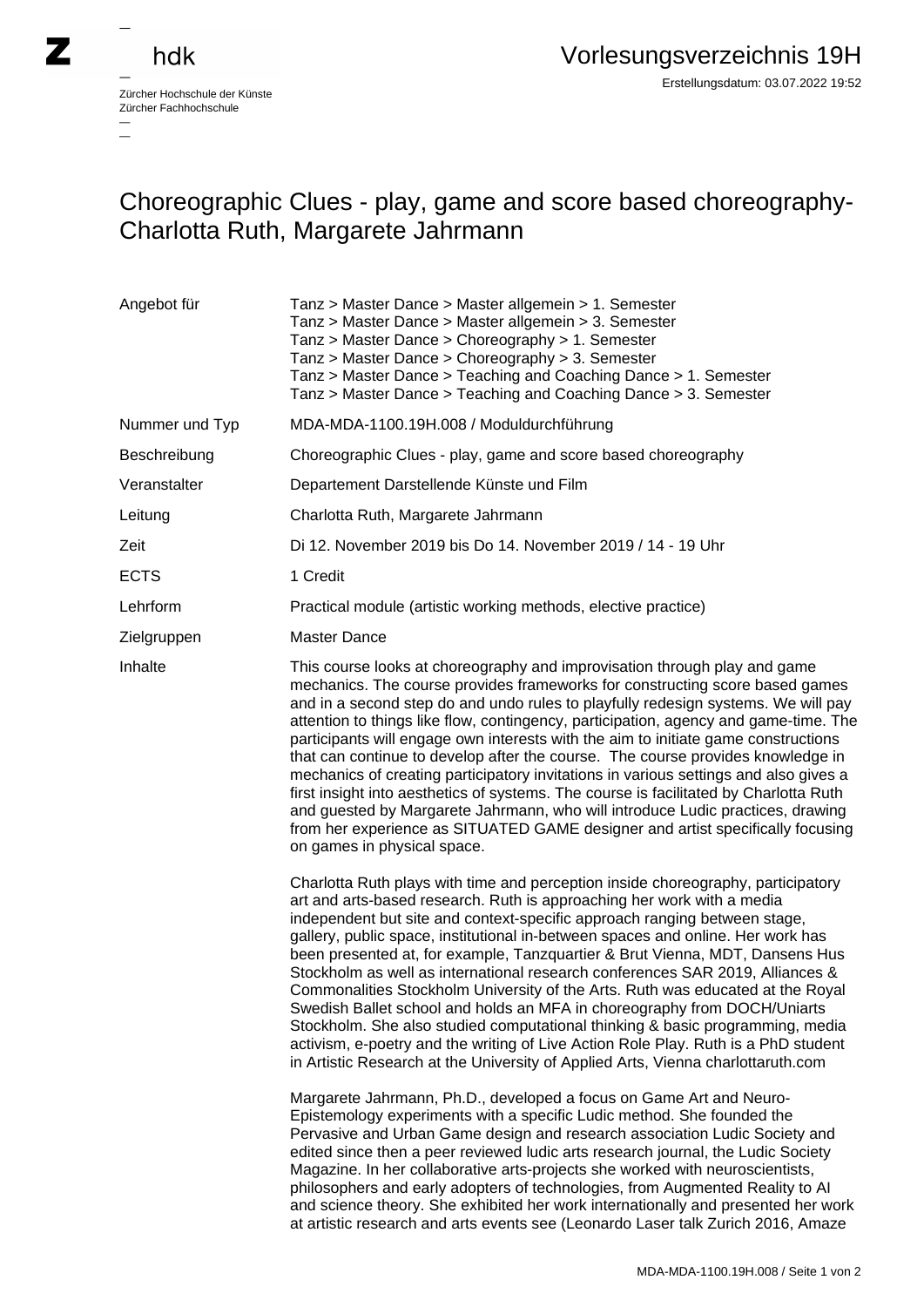— —

## Choreographic Clues - play, game and score based choreography-Charlotta Ruth, Margarete Jahrmann

| Angebot für    | Tanz > Master Dance > Master allgemein > 1. Semester<br>Tanz > Master Dance > Master allgemein > 3. Semester<br>Tanz > Master Dance > Choreography > 1. Semester<br>Tanz > Master Dance > Choreography > 3. Semester<br>Tanz > Master Dance > Teaching and Coaching Dance > 1. Semester<br>Tanz > Master Dance > Teaching and Coaching Dance > 3. Semester                                                                                                                                                                                                                                                                                                                                                                                                                                                                                                                                                                                                                                                                                                                                                                                                                                                                              |
|----------------|-----------------------------------------------------------------------------------------------------------------------------------------------------------------------------------------------------------------------------------------------------------------------------------------------------------------------------------------------------------------------------------------------------------------------------------------------------------------------------------------------------------------------------------------------------------------------------------------------------------------------------------------------------------------------------------------------------------------------------------------------------------------------------------------------------------------------------------------------------------------------------------------------------------------------------------------------------------------------------------------------------------------------------------------------------------------------------------------------------------------------------------------------------------------------------------------------------------------------------------------|
| Nummer und Typ | MDA-MDA-1100.19H.008 / Moduldurchführung                                                                                                                                                                                                                                                                                                                                                                                                                                                                                                                                                                                                                                                                                                                                                                                                                                                                                                                                                                                                                                                                                                                                                                                                |
| Beschreibung   | Choreographic Clues - play, game and score based choreography                                                                                                                                                                                                                                                                                                                                                                                                                                                                                                                                                                                                                                                                                                                                                                                                                                                                                                                                                                                                                                                                                                                                                                           |
| Veranstalter   | Departement Darstellende Künste und Film                                                                                                                                                                                                                                                                                                                                                                                                                                                                                                                                                                                                                                                                                                                                                                                                                                                                                                                                                                                                                                                                                                                                                                                                |
| Leitung        | Charlotta Ruth, Margarete Jahrmann                                                                                                                                                                                                                                                                                                                                                                                                                                                                                                                                                                                                                                                                                                                                                                                                                                                                                                                                                                                                                                                                                                                                                                                                      |
| Zeit           | Di 12. November 2019 bis Do 14. November 2019 / 14 - 19 Uhr                                                                                                                                                                                                                                                                                                                                                                                                                                                                                                                                                                                                                                                                                                                                                                                                                                                                                                                                                                                                                                                                                                                                                                             |
| <b>ECTS</b>    | 1 Credit                                                                                                                                                                                                                                                                                                                                                                                                                                                                                                                                                                                                                                                                                                                                                                                                                                                                                                                                                                                                                                                                                                                                                                                                                                |
| Lehrform       | Practical module (artistic working methods, elective practice)                                                                                                                                                                                                                                                                                                                                                                                                                                                                                                                                                                                                                                                                                                                                                                                                                                                                                                                                                                                                                                                                                                                                                                          |
| Zielgruppen    | <b>Master Dance</b>                                                                                                                                                                                                                                                                                                                                                                                                                                                                                                                                                                                                                                                                                                                                                                                                                                                                                                                                                                                                                                                                                                                                                                                                                     |
| Inhalte        | This course looks at choreography and improvisation through play and game<br>mechanics. The course provides frameworks for constructing score based games<br>and in a second step do and undo rules to playfully redesign systems. We will pay<br>attention to things like flow, contingency, participation, agency and game-time. The<br>participants will engage own interests with the aim to initiate game constructions<br>that can continue to develop after the course. The course provides knowledge in<br>mechanics of creating participatory invitations in various settings and also gives a<br>first insight into aesthetics of systems. The course is facilitated by Charlotta Ruth<br>and guested by Margarete Jahrmann, who will introduce Ludic practices, drawing<br>from her experience as SITUATED GAME designer and artist specifically focusing<br>on games in physical space.                                                                                                                                                                                                                                                                                                                                     |
|                | Charlotta Ruth plays with time and perception inside choreography, participatory<br>art and arts-based research. Ruth is approaching her work with a media<br>independent but site and context-specific approach ranging between stage,<br>gallery, public space, institutional in-between spaces and online. Her work has<br>been presented at, for example, Tanzquartier & Brut Vienna, MDT, Dansens Hus<br>Stockholm as well as international research conferences SAR 2019, Alliances &<br>Commonalities Stockholm University of the Arts. Ruth was educated at the Royal<br>Swedish Ballet school and holds an MFA in choreography from DOCH/Uniarts<br>Stockholm. She also studied computational thinking & basic programming, media<br>activism, e-poetry and the writing of Live Action Role Play. Ruth is a PhD student<br>in Artistic Research at the University of Applied Arts, Vienna charlottaruth.com<br>Margarete Jahrmann, Ph.D., developed a focus on Game Art and Neuro-<br>Epistemology experiments with a specific Ludic method. She founded the<br>Pervasive and Urban Game design and research association Ludic Society and<br>edited since then a peer reviewed ludic arts research journal, the Ludic Society |
|                | Magazine. In her collaborative arts-projects she worked with neuroscientists,<br>philosophers and early adopters of technologies, from Augmented Reality to Al<br>and science theory. She exhibited her work internationally and presented her work<br>at artistic research and arts events see (Leonardo Laser talk Zurich 2016, Amaze                                                                                                                                                                                                                                                                                                                                                                                                                                                                                                                                                                                                                                                                                                                                                                                                                                                                                                 |